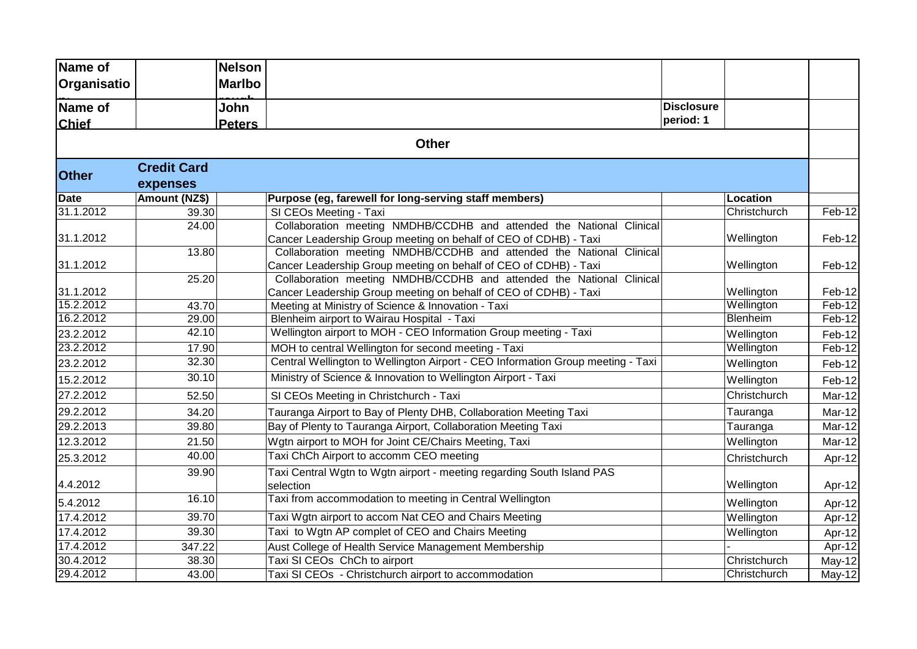| Name of      |                    | <b>Nelson</b> |                                                                                 |                   |                 |        |
|--------------|--------------------|---------------|---------------------------------------------------------------------------------|-------------------|-----------------|--------|
| Organisatio  |                    | <b>Marlbo</b> |                                                                                 |                   |                 |        |
| Name of      |                    | John          |                                                                                 | <b>Disclosure</b> |                 |        |
| <b>Chief</b> |                    | <b>Peters</b> |                                                                                 | period: 1         |                 |        |
|              |                    |               | <b>Other</b>                                                                    |                   |                 |        |
|              | <b>Credit Card</b> |               |                                                                                 |                   |                 |        |
| <b>Other</b> | expenses           |               |                                                                                 |                   |                 |        |
| <b>Date</b>  | Amount (NZ\$)      |               | Purpose (eg, farewell for long-serving staff members)                           |                   | <b>Location</b> |        |
| 31.1.2012    | 39.30              |               | SI CEOs Meeting - Taxi                                                          |                   | Christchurch    | Feb-12 |
|              | 24.00              |               | Collaboration meeting NMDHB/CCDHB and attended the National Clinical            |                   |                 |        |
| 31.1.2012    |                    |               | Cancer Leadership Group meeting on behalf of CEO of CDHB) - Taxi                |                   | Wellington      | Feb-12 |
|              | 13.80              |               | Collaboration meeting NMDHB/CCDHB and attended the National Clinical            |                   |                 |        |
| 31.1.2012    |                    |               | Cancer Leadership Group meeting on behalf of CEO of CDHB) - Taxi                |                   | Wellington      | Feb-12 |
|              | 25.20              |               | Collaboration meeting NMDHB/CCDHB and attended the National Clinical            |                   |                 |        |
| 31.1.2012    |                    |               | Cancer Leadership Group meeting on behalf of CEO of CDHB) - Taxi                |                   | Wellington      | Feb-12 |
| 15.2.2012    | 43.70              |               | Meeting at Ministry of Science & Innovation - Taxi                              |                   | Wellington      | Feb-12 |
| 16.2.2012    | 29.00              |               | Blenheim airport to Wairau Hospital - Taxi                                      |                   | Blenheim        | Feb-12 |
| 23.2.2012    | 42.10              |               | Wellington airport to MOH - CEO Information Group meeting - Taxi                |                   | Wellington      | Feb-12 |
| 23.2.2012    | 17.90              |               | MOH to central Wellington for second meeting - Taxi                             |                   | Wellington      | Feb-12 |
| 23.2.2012    | 32.30              |               | Central Wellington to Wellington Airport - CEO Information Group meeting - Taxi |                   | Wellington      | Feb-12 |
| 15.2.2012    | 30.10              |               | Ministry of Science & Innovation to Wellington Airport - Taxi                   |                   | Wellington      | Feb-12 |
| 27.2.2012    | 52.50              |               | SI CEOs Meeting in Christchurch - Taxi                                          |                   | Christchurch    | Mar-12 |
| 29.2.2012    | 34.20              |               | Tauranga Airport to Bay of Plenty DHB, Collaboration Meeting Taxi               |                   | Tauranga        | Mar-12 |
| 29.2.2013    | 39.80              |               | Bay of Plenty to Tauranga Airport, Collaboration Meeting Taxi                   |                   | Tauranga        | Mar-12 |
| 12.3.2012    | 21.50              |               | Wgtn airport to MOH for Joint CE/Chairs Meeting, Taxi                           |                   | Wellington      | Mar-12 |
| 25.3.2012    | 40.00              |               | Taxi ChCh Airport to accomm CEO meeting                                         |                   | Christchurch    | Apr-12 |
|              | 39.90              |               | Taxi Central Wgtn to Wgtn airport - meeting regarding South Island PAS          |                   |                 |        |
| 4.4.2012     |                    |               | selection                                                                       |                   | Wellington      | Apr-12 |
| 5.4.2012     | 16.10              |               | Taxi from accommodation to meeting in Central Wellington                        |                   | Wellington      | Apr-12 |
| 17.4.2012    | 39.70              |               | Taxi Wgtn airport to accom Nat CEO and Chairs Meeting                           |                   | Wellington      | Apr-12 |
| 17.4.2012    | 39.30              |               | Taxi to Wgtn AP complet of CEO and Chairs Meeting                               |                   | Wellington      | Apr-12 |
| 17.4.2012    | 347.22             |               | Aust College of Health Service Management Membership                            |                   |                 | Apr-12 |
| 30.4.2012    | 38.30              |               | Taxi SI CEOs ChCh to airport                                                    |                   | Christchurch    | May-12 |
| 29.4.2012    | 43.00              |               | Taxi SI CEOs - Christchurch airport to accommodation                            |                   | Christchurch    | May-12 |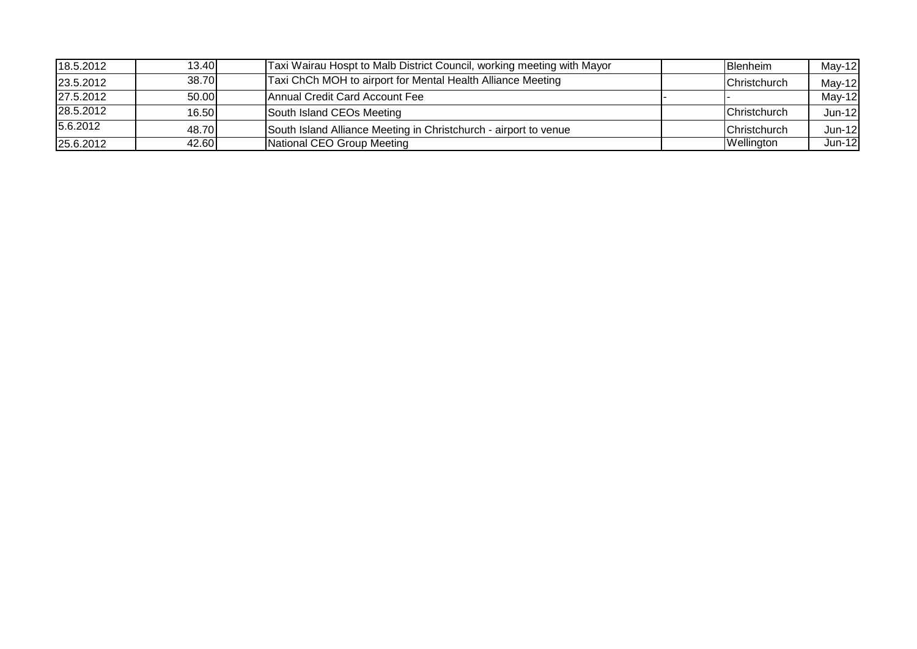| 18.5.2012 | 13.40 | Taxi Wairau Hospt to Malb District Council, working meeting with Mayor | <b>Blenheim</b> | $May-12$ |
|-----------|-------|------------------------------------------------------------------------|-----------------|----------|
| 23.5.2012 | 38.70 | Taxi ChCh MOH to airport for Mental Health Alliance Meeting            | Christchurch    | $May-12$ |
| 27.5.2012 | 50.00 | Annual Credit Card Account Fee                                         |                 | $May-12$ |
| 28.5.2012 | 16.50 | South Island CEOs Meeting                                              | Christchurch    | $Jun-12$ |
| 5.6.2012  | 48.70 | South Island Alliance Meeting in Christchurch - airport to venue       | Christchurch    | Jun-12   |
| 25.6.2012 | 42.60 | National CEO Group Meeting                                             | Wellington      | Jun-12   |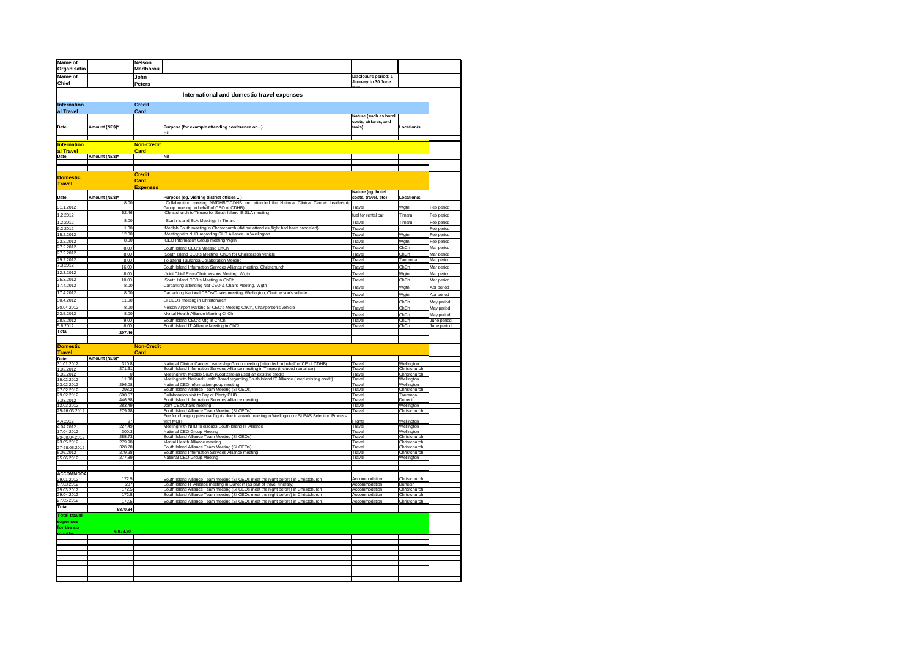| Name of                                                                                                                                |                  | Nelson                  |                                                                                                                                                        |                                               |                              |                          |
|----------------------------------------------------------------------------------------------------------------------------------------|------------------|-------------------------|--------------------------------------------------------------------------------------------------------------------------------------------------------|-----------------------------------------------|------------------------------|--------------------------|
| Organisatio                                                                                                                            |                  | <b>Marlborou</b>        |                                                                                                                                                        |                                               |                              |                          |
| Name of                                                                                                                                |                  |                         |                                                                                                                                                        | Disclosure period: 1                          |                              |                          |
| Chief                                                                                                                                  |                  | John                    |                                                                                                                                                        | January to 30 June                            |                              |                          |
|                                                                                                                                        |                  | Peters                  |                                                                                                                                                        |                                               |                              |                          |
|                                                                                                                                        |                  |                         | International and domestic travel expenses                                                                                                             |                                               |                              |                          |
| Internation                                                                                                                            |                  | <b>Credit</b>           |                                                                                                                                                        |                                               |                              |                          |
| al Travel                                                                                                                              |                  | Card                    |                                                                                                                                                        |                                               |                              |                          |
|                                                                                                                                        |                  |                         |                                                                                                                                                        | Nature (such as hotel<br>costs, airfares, and |                              |                          |
| Date                                                                                                                                   | Amount (NZ\$)*   |                         | Purpose (for example attending conference on)                                                                                                          | taxis)                                        | Location/s                   |                          |
|                                                                                                                                        |                  |                         |                                                                                                                                                        |                                               |                              |                          |
|                                                                                                                                        |                  |                         |                                                                                                                                                        |                                               |                              |                          |
| <b>Internation</b>                                                                                                                     |                  | <b>Non-Credit</b>       |                                                                                                                                                        |                                               |                              |                          |
| al Travel<br>Date                                                                                                                      | Amount (NZ\$)*   | <b>Card</b>             | Nil                                                                                                                                                    |                                               |                              |                          |
|                                                                                                                                        |                  |                         |                                                                                                                                                        |                                               |                              |                          |
|                                                                                                                                        |                  |                         |                                                                                                                                                        |                                               |                              |                          |
| <b>Domestic</b>                                                                                                                        |                  | <b>Credit</b>           |                                                                                                                                                        |                                               |                              |                          |
| <b>Travel</b>                                                                                                                          |                  | Card<br><b>Expenses</b> |                                                                                                                                                        |                                               |                              |                          |
|                                                                                                                                        |                  |                         |                                                                                                                                                        | Nature (eg, hotel                             |                              |                          |
| Date                                                                                                                                   | Amount (NZ\$)*   |                         | Purpose (eg, visiting district offices )                                                                                                               | costs, travel, etc)                           | Location/s                   |                          |
| 31.1.2012                                                                                                                              | 8.00             |                         | Collaboration meeting NMDHB/CCDHB and attended the National Clinical Cancer Leadership<br>Group meeting on behalf of CEO of CDHB)                      | Travel                                        | Wgtn                         | Feb period               |
|                                                                                                                                        | 52.46            |                         | Christchurch to Timaru for South Island IS SLA meeting                                                                                                 |                                               | Timaru                       |                          |
| 1.2.2012<br>1.2.2012<br>9.2.2012<br>15.2.2012                                                                                          | 8.00             |                         | South Island SLA Meetings in Timaru                                                                                                                    | fuel for rental car                           |                              | Feb period               |
|                                                                                                                                        | 1.00             |                         | Medlab South meeting in Christchurch (did not attend as flight had been cancelled)                                                                     | Travel                                        | Timaru                       | Feb period               |
|                                                                                                                                        | 12.00            |                         | Meeting with NHB regarding SI IT Alliance in Wellington                                                                                                | Travel                                        |                              | Feb period               |
|                                                                                                                                        | 8.00             |                         | CEO Information Group meeting Wgtn                                                                                                                     | Travel                                        | Wgtn                         | Feb period               |
|                                                                                                                                        | 8.00             |                         | South Island CEO's Meeting ChCh                                                                                                                        | Travel                                        | Wgtn<br>ChCh                 | Feb period               |
|                                                                                                                                        | 8.00             |                         | South Island CEO's Meeting ChCh for Chairperson vehicle                                                                                                | Travel<br>Travel                              | ChCh                         | Mar period<br>Mar period |
| 23.2.2012<br>27.2.2012<br>27.2.2012<br>29.2.2012<br>7.3.2012                                                                           | 8.00             |                         | To attend Tauranga Collaboration Meeting                                                                                                               | Travel                                        | Tauranga                     | Mar period               |
|                                                                                                                                        | 16.00            |                         | South Island Information Services Alliance meeting, Christchurch                                                                                       | Travel                                        | ChCh                         | Mar period               |
| 12.3.2012                                                                                                                              | 8.00             |                         | Joint Chief Exec/Chairpersons Meeting, Wgtn                                                                                                            | Trave                                         | Wgtn                         | Mar period               |
|                                                                                                                                        | 10.00            |                         | South Island CEO's Meeting in ChCh                                                                                                                     | Travel                                        | ChCh                         | Mar period               |
|                                                                                                                                        | 8.00             |                         | Carparking attending Nat CEO & Chairs Meeting, Wgtn                                                                                                    | Travel                                        | Wgtn                         | Apr period               |
| 25.3.2012<br>17.4.2012<br>17.4.2012                                                                                                    | 8.00             |                         | Carparking National CEOs/Chairs meeting, Wellington, Chairperson's vehicle                                                                             | Travel                                        | Wgtn                         | Apr period               |
| 30.4.2012                                                                                                                              | 11.00            |                         | SI CEOs meeting in Christchurch                                                                                                                        |                                               |                              |                          |
| 30.4.2012<br>30.04.2012<br>23.5.2012<br>28.5.2012<br>5.6.2012                                                                          | 8.00             |                         | Nelson Airport Parking SI CEO's Meeting ChCh, Chairperson's vehicle                                                                                    | Travel<br>Travel                              | ChCh<br>ChCh                 | May period<br>May period |
|                                                                                                                                        | 8.00             |                         | Mental Health Alliance Meeting ChCh                                                                                                                    | Travel                                        | ChCh                         | May period               |
|                                                                                                                                        | 9.00             |                         | South Island CEO's Mtg in ChCh                                                                                                                         | Travel                                        | ChCh                         | June period              |
|                                                                                                                                        | 8.00             |                         | South Island IT Alliance Meeting in ChCh                                                                                                               | Travel                                        | ChCh                         | June period              |
|                                                                                                                                        | 207.46           |                         |                                                                                                                                                        |                                               |                              |                          |
|                                                                                                                                        |                  |                         |                                                                                                                                                        |                                               |                              |                          |
| <b>Domestic</b>                                                                                                                        |                  | <b>Non-Credit</b>       |                                                                                                                                                        |                                               |                              |                          |
| <b>Travel</b>                                                                                                                          |                  | Card                    |                                                                                                                                                        |                                               |                              |                          |
|                                                                                                                                        | Amount (NZ\$)'   |                         |                                                                                                                                                        |                                               |                              |                          |
|                                                                                                                                        | 310.8            |                         | National Clinical Cancer Leadership Group meeting (attended on behalf of CE of CDHB)                                                                   | Travel                                        | Wellington                   |                          |
|                                                                                                                                        | 271.61           |                         | South Island Information Services Alliance meeting in Timaru (included rental car)<br>Meeting with Medlab South (Cost zero as used an existing credit) | Travel<br>Travel                              | Christchurch<br>Christchurch |                          |
|                                                                                                                                        | 11.88            |                         | Meeting with National Health Board regarding South Island IT Alliance (used existing credit)                                                           | Travel                                        | Wellington                   |                          |
|                                                                                                                                        | 296.08           |                         | National CEO Information group meeting                                                                                                                 | Travel                                        | Wellington                   |                          |
|                                                                                                                                        | 298.2            |                         | South Island Alliance Team Meeting (SI CEOs)                                                                                                           | Travel                                        | Christchurch                 |                          |
| <b>Travel</b><br>31.01.2012<br>31.02.2012<br>9.02.2012<br>33.02.2012<br>27.02.2012<br>7.03.2012<br>7.03.2012<br>7.03.2012<br>7.03.2012 | 698.57<br>446.58 |                         | Collaboration visit to Bay of Plenty DHB<br>South Island Information Services Alliance meeting                                                         | Travel<br>Travel                              | Tauranga<br>Dunedin          |                          |
|                                                                                                                                        | 283.49           |                         | Joint CEs/Chairs meeting                                                                                                                               | Travel                                        | Wellington                   |                          |
| E<br>5-26.03.2012                                                                                                                      | 279.98           |                         | South Island Alliance Team Meeting (SI CEOs)                                                                                                           | Travel                                        | Christchurch                 |                          |
|                                                                                                                                        | 97               |                         | Fee for changing personal flights due to a work meeting in Wellington re SI PAS Selection Process<br>with MOH                                          |                                               |                              |                          |
| 4.4.2012<br>4.04.2012<br>17.04.2012                                                                                                    | 227.49           |                         | Meeting with NHB to discuss South Island IT Alliance                                                                                                   | Flights<br>Travel                             | Wellington<br>Wellington     |                          |
|                                                                                                                                        | 300.3            |                         | National CEO Group Meeting                                                                                                                             | Travel                                        | Wellington                   |                          |
|                                                                                                                                        | 285.73           |                         | South Island Alliance Team Meeting (SI CEOs)                                                                                                           | Travel                                        | Christchurch                 |                          |
|                                                                                                                                        | 279.98           |                         | Mental Health Alliance meeting                                                                                                                         | Travel                                        | Christchurch                 |                          |
|                                                                                                                                        | 328.28<br>279.98 |                         | South Island Alliance Team Meeting (SI CEOs)<br>South Island Information Services Alliance meeting                                                     | Travel<br>Travel                              | Christchurch<br>Christchurch |                          |
| 17.04.2012<br>29-30.04.2012<br>23.05.2012<br>27-28.05.2012<br>5.06.2012                                                                | 277.89           |                         | National CEO Group Meeting                                                                                                                             | Travel                                        | Wellington                   |                          |
|                                                                                                                                        |                  |                         |                                                                                                                                                        |                                               |                              |                          |
|                                                                                                                                        |                  |                         |                                                                                                                                                        |                                               |                              |                          |
| ACCOMMODA<br>29.01.2012<br>07.03.2012                                                                                                  | 172.5            |                         | South Island Alliance Team meeting (SI CEOs meet the night before) in Christchurch                                                                     | Accommodation                                 | Christchurch                 |                          |
|                                                                                                                                        | 207              |                         | South Island IT Alliance meeting in Dunedin (as part of travel itinerary)                                                                              | Accommodation                                 | Dunedin                      |                          |
| 25.03.2012                                                                                                                             | 172.5            |                         | South Island Alliance Team meeting (SI CEOs meet the night before) in Christchurch                                                                     | Accommodation                                 | Christchurch                 |                          |
| 29.04.2012                                                                                                                             | 172.             |                         | South Island Alliance Team meeting (SI CEOs meet the night before) in Christchurch                                                                     | Accommodation                                 | Christchurch                 |                          |
| Total                                                                                                                                  | 1725             |                         | South Island Alliance Team meeting (SI CEOs meet the night before) in Christchurch                                                                     | Accommodation                                 | Christchurch                 |                          |
|                                                                                                                                        | 5870.84          |                         |                                                                                                                                                        |                                               |                              |                          |
| <b>Total travel</b>                                                                                                                    |                  |                         |                                                                                                                                                        |                                               |                              |                          |
| expenses<br>for the six                                                                                                                |                  |                         |                                                                                                                                                        |                                               |                              |                          |
|                                                                                                                                        | 6.078.30         |                         |                                                                                                                                                        |                                               |                              |                          |
|                                                                                                                                        |                  |                         |                                                                                                                                                        |                                               |                              |                          |
|                                                                                                                                        |                  |                         |                                                                                                                                                        |                                               |                              |                          |
|                                                                                                                                        |                  |                         |                                                                                                                                                        |                                               |                              |                          |
|                                                                                                                                        |                  |                         |                                                                                                                                                        |                                               |                              |                          |
|                                                                                                                                        |                  |                         |                                                                                                                                                        |                                               |                              |                          |
|                                                                                                                                        |                  |                         |                                                                                                                                                        |                                               |                              |                          |
|                                                                                                                                        |                  |                         |                                                                                                                                                        |                                               |                              |                          |
|                                                                                                                                        |                  |                         |                                                                                                                                                        |                                               |                              |                          |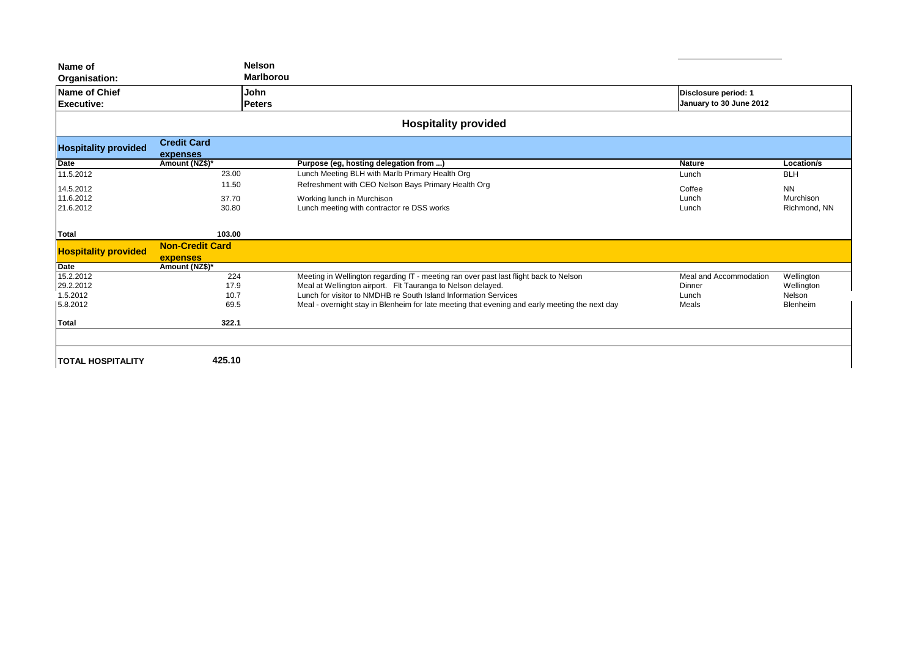| <b>Name of Chief</b><br>Executive: |                                | John<br><b>Peters</b>                                                                          | Disclosure period: 1<br>January to 30 June 2012 |              |
|------------------------------------|--------------------------------|------------------------------------------------------------------------------------------------|-------------------------------------------------|--------------|
|                                    |                                | <b>Hospitality provided</b>                                                                    |                                                 |              |
| <b>Hospitality provided</b>        | <b>Credit Card</b><br>expenses |                                                                                                |                                                 |              |
| <b>Date</b>                        | Amount (NZ\$)*                 | Purpose (eg, hosting delegation from )                                                         | <b>Nature</b>                                   | Location/s   |
| 11.5.2012                          | 23.00                          | Lunch Meeting BLH with Marlb Primary Health Org                                                | Lunch                                           | <b>BLH</b>   |
| 14.5.2012                          | 11.50                          | Refreshment with CEO Nelson Bays Primary Health Org                                            | Coffee                                          | <b>NN</b>    |
| 11.6.2012                          | 37.70                          | Working lunch in Murchison                                                                     | Lunch                                           | Murchison    |
|                                    |                                |                                                                                                |                                                 |              |
| 21.6.2012                          | 30.80                          | Lunch meeting with contractor re DSS works                                                     | Lunch                                           | Richmond, NN |
| <b>Total</b>                       | 103.00                         |                                                                                                |                                                 |              |
| <b>Hospitality provided</b>        | <b>Non-Credit Card</b>         |                                                                                                |                                                 |              |
| <b>Date</b>                        | expenses<br>Amount (NZ\$)*     |                                                                                                |                                                 |              |
| 15.2.2012                          | 224                            | Meeting in Wellington regarding IT - meeting ran over past last flight back to Nelson          | Meal and Accommodation                          | Wellington   |
| 29.2.2012                          | 17.9                           | Meal at Wellington airport. Flt Tauranga to Nelson delayed.                                    | Dinner                                          | Wellington   |
| 1.5.2012                           | 10.7                           | Lunch for visitor to NMDHB re South Island Information Services                                | Lunch                                           | Nelson       |
| 5.8.2012                           | 69.5                           | Meal - overnight stay in Blenheim for late meeting that evening and early meeting the next day | Meals                                           | Blenheim     |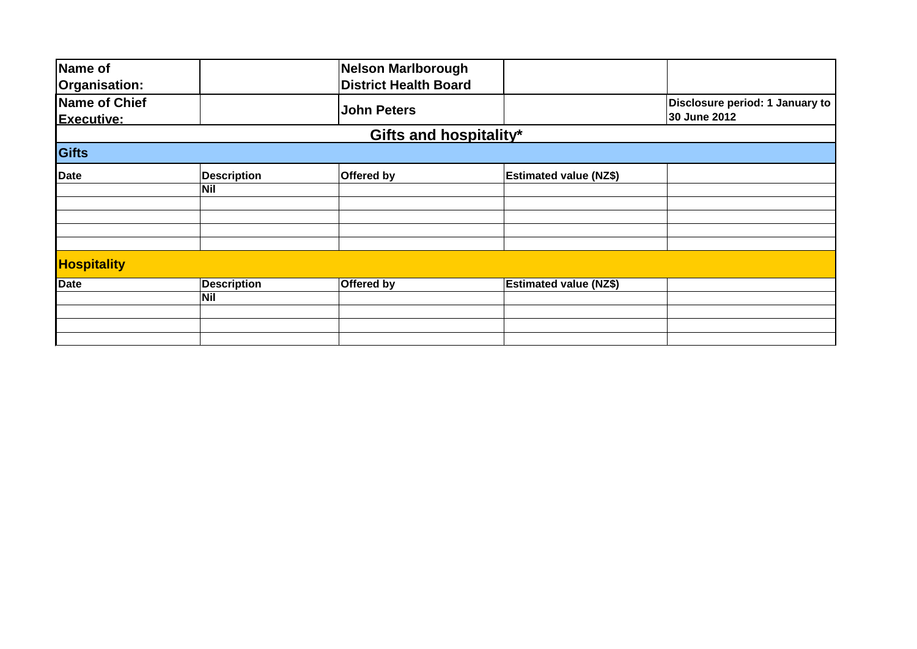| Name of                            |                    | Nelson Marlborough           |                               |                                                 |
|------------------------------------|--------------------|------------------------------|-------------------------------|-------------------------------------------------|
| Organisation:                      |                    | <b>District Health Board</b> |                               |                                                 |
| Name of Chief<br><b>Executive:</b> |                    | <b>John Peters</b>           |                               | Disclosure period: 1 January to<br>30 June 2012 |
|                                    |                    | Gifts and hospitality*       |                               |                                                 |
| Gifts                              |                    |                              |                               |                                                 |
| Date                               | <b>Description</b> | Offered by                   | <b>Estimated value (NZ\$)</b> |                                                 |
|                                    | <b>Nil</b>         |                              |                               |                                                 |
|                                    |                    |                              |                               |                                                 |
|                                    |                    |                              |                               |                                                 |
|                                    |                    |                              |                               |                                                 |
| <b>Hospitality</b>                 |                    |                              |                               |                                                 |
| <b>Date</b>                        | <b>Description</b> | Offered by                   | <b>Estimated value (NZ\$)</b> |                                                 |
|                                    | <b>Nil</b>         |                              |                               |                                                 |
|                                    |                    |                              |                               |                                                 |
|                                    |                    |                              |                               |                                                 |
|                                    |                    |                              |                               |                                                 |